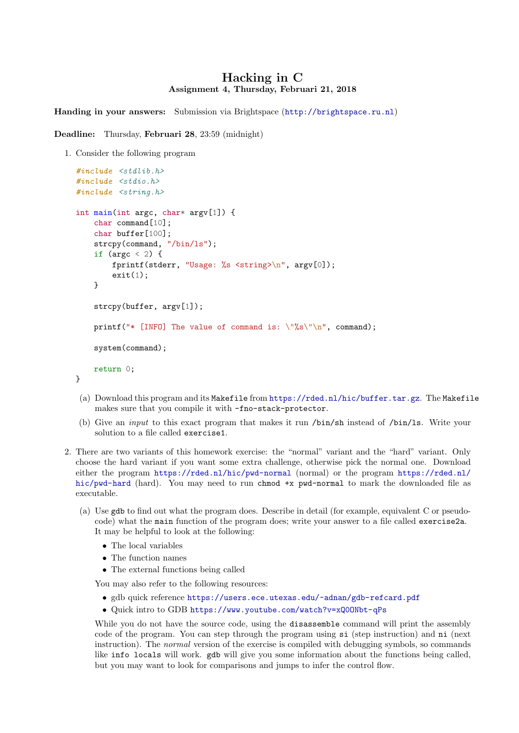## Hacking in C Assignment 4, Thursday, Februari 21, 2018

Handing in your answers: Submission via Brightspace (<http://brightspace.ru.nl>)

Deadline: Thursday, Februari 28, 23:59 (midnight)

1. Consider the following program

```
#include <stdlib.h>
#include <stdio.h>
#include <string.h>
int main(int argc, char* argv[1]) {
    char command[10];
    char buffer[100];
    strcpy(command, "/bin/ls");
    if (argc \langle 2 \rangle {
        fprintf(stderr, "Usage: %s <string>\n", argv[0]);
        exit(1);}
    strcpy(buffer, argv[1]);
    printf("* [INFO] The value of command is: \sqrt{\frac{6}{5}}\"\n", command);
    system(command);
    return 0;
}
```
- (a) Download this program and its Makefile from <https://rded.nl/hic/buffer.tar.gz>. The Makefile makes sure that you compile it with -fno-stack-protector.
- (b) Give an input to this exact program that makes it run /bin/sh instead of /bin/ls. Write your solution to a file called exercise1.
- 2. There are two variants of this homework exercise: the "normal" variant and the "hard" variant. Only choose the hard variant if you want some extra challenge, otherwise pick the normal one. Download either the program <https://rded.nl/hic/pwd-normal> (normal) or the program [https://rded.nl/](https://rded.nl/hic/pwd-hard) [hic/pwd-hard](https://rded.nl/hic/pwd-hard) (hard). You may need to run chmod +x pwd-normal to mark the downloaded file as executable.
	- (a) Use gdb to find out what the program does. Describe in detail (for example, equivalent C or pseudocode) what the main function of the program does; write your answer to a file called exercise2a. It may be helpful to look at the following:
		- The local variables
		- The function names
		- The external functions being called

You may also refer to the following resources:

- gdb quick reference <https://users.ece.utexas.edu/~adnan/gdb-refcard.pdf>
- Quick intro to GDB <https://www.youtube.com/watch?v=xQ0ONbt-qPs>

While you do not have the source code, using the **disassemble** command will print the assembly code of the program. You can step through the program using si (step instruction) and ni (next instruction). The *normal* version of the exercise is compiled with debugging symbols, so commands like info locals will work. gdb will give you some information about the functions being called, but you may want to look for comparisons and jumps to infer the control flow.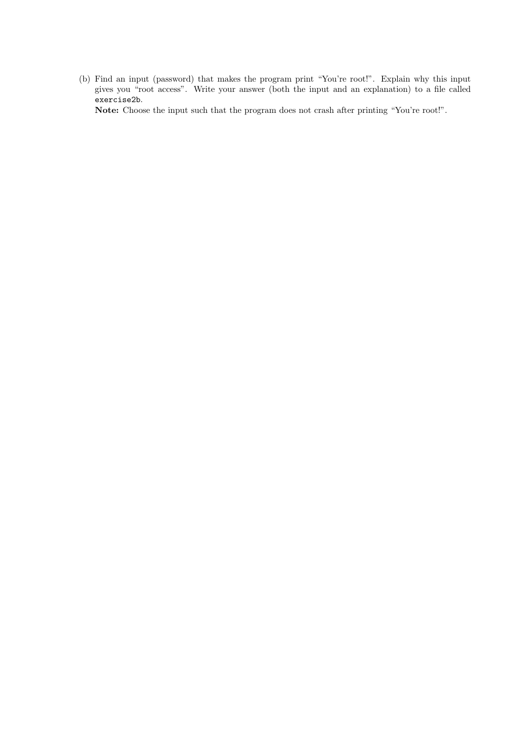(b) Find an input (password) that makes the program print "You're root!". Explain why this input gives you "root access". Write your answer (both the input and an explanation) to a file called exercise2b.

Note: Choose the input such that the program does not crash after printing "You're root!".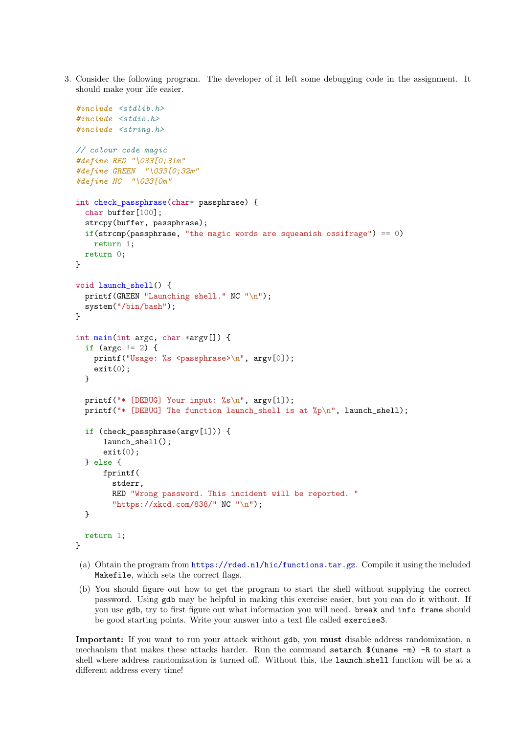3. Consider the following program. The developer of it left some debugging code in the assignment. It should make your life easier.

```
#include <stdlib.h>
#include <stdio.h>
#include <string.h>
// colour code magic
#define RED "\033[0;31m"
#define GREEN "\033[0;32m"
#define NC "\033[0m"
int check_passphrase(char* passphrase) {
  char buffer[100];
  strcpy(buffer, passphrase);
  if(strcmp(passphrase, "the magic words are squeamish ossifrage") == 0)
    return 1;
  return 0;
}
void launch_shell() {
  printf(GREEN "Launching shell." NC "\n");
  system("/bin/bash");
}
int main(int argc, char *argv[]) {
  if (argc != 2) {
    printf("Usage: %s <passphrase>\n", argv[0]);
    exit(0);}
  printf("* [DEBUG] Your input: %s\n", argv[1]);
  printf("* [DEBUG] The function launch_shell is at \gamma_p\<sup>n</sup>', launch_shell);
  if (check_passphrase(argv[1])) {
      launch_shell();
      exit(0);} else {
      fprintf(
        stderr,
        RED "Wrong password. This incident will be reported. "
        "https://xkcd.com/838/" NC "\n");
  }
 return 1;
}
```
- (a) Obtain the program from <https://rded.nl/hic/functions.tar.gz>. Compile it using the included Makefile, which sets the correct flags.
- (b) You should figure out how to get the program to start the shell without supplying the correct password. Using gdb may be helpful in making this exercise easier, but you can do it without. If you use gdb, try to first figure out what information you will need. break and info frame should be good starting points. Write your answer into a text file called exercise3.

Important: If you want to run your attack without gdb, you must disable address randomization, a mechanism that makes these attacks harder. Run the command setarch \$(uname -m) -R to start a shell where address randomization is turned off. Without this, the launch shell function will be at a different address every time!